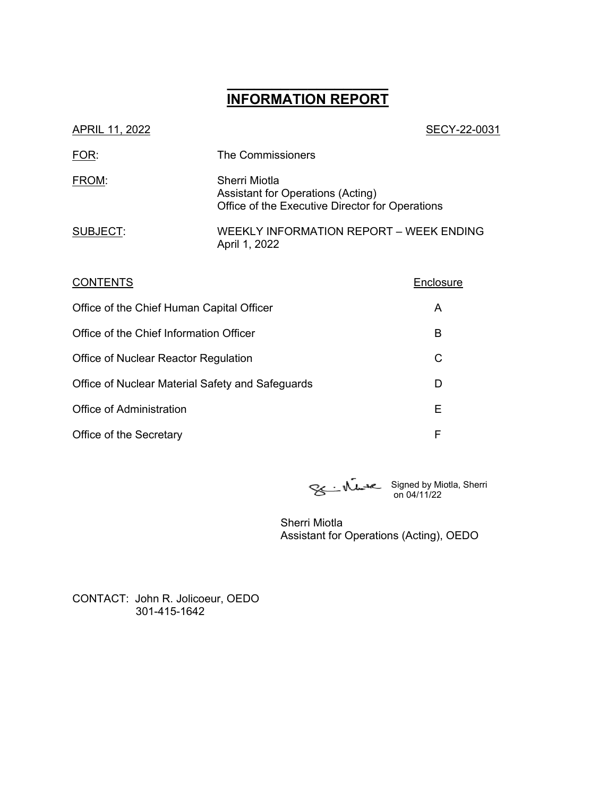# **\_\_\_\_\_\_\_\_\_\_\_\_\_\_\_\_\_\_ INFORMATION REPORT**

| APRIL 11, 2022 | SECY-22-0031                                                                                          |
|----------------|-------------------------------------------------------------------------------------------------------|
| FOR:           | <b>The Commissioners</b>                                                                              |
| FROM:          | Sherri Miotla<br>Assistant for Operations (Acting)<br>Office of the Executive Director for Operations |
| SUBJECT:       | WEEKLY INFORMATION REPORT – WEEK ENDING<br>April 1, 2022                                              |
|                |                                                                                                       |

| <b>CONTENTS</b>                                  | Enclosure |
|--------------------------------------------------|-----------|
| Office of the Chief Human Capital Officer        | A         |
| Office of the Chief Information Officer          | В         |
| Office of Nuclear Reactor Regulation             | C         |
| Office of Nuclear Material Safety and Safeguards | D         |
| <b>Office of Administration</b>                  | Е         |
| Office of the Secretary                          | F         |

Signed by Miotla, Sherri on 04/11/22

Sherri Miotla Assistant for Operations (Acting), OEDO

CONTACT: John R. Jolicoeur, OEDO 301-415-1642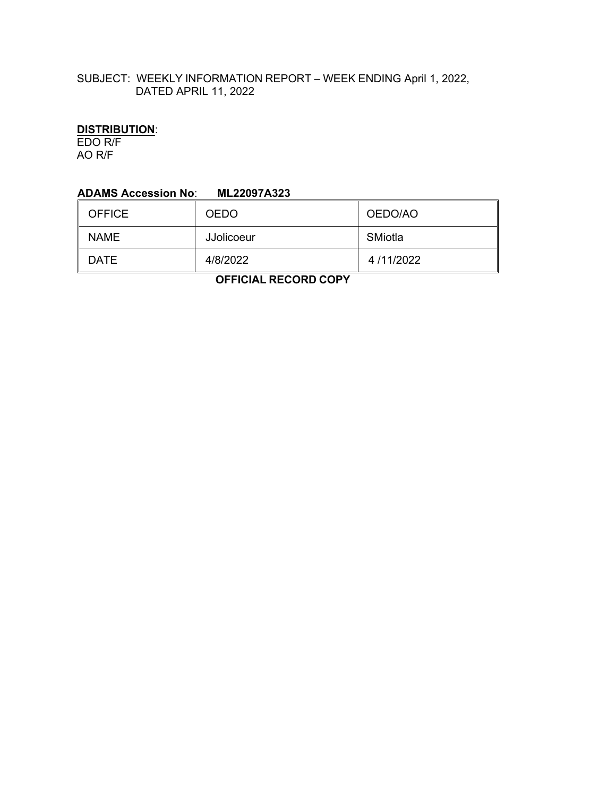## SUBJECT: WEEKLY INFORMATION REPORT – WEEK ENDING April 1, 2022, DATED APRIL 11, 2022

# **DISTRIBUTION**:

EDO R/F AO R/F

#### **ADAMS Accession No**: **ML22097A323**

| <b>OFFICE</b> | <b>OEDO</b>       | OEDO/AO   |  |
|---------------|-------------------|-----------|--|
| <b>NAME</b>   | <b>JJolicoeur</b> | SMiotla   |  |
| <b>DATE</b>   | 4/8/2022          | 4/11/2022 |  |

 **OFFICIAL RECORD COPY**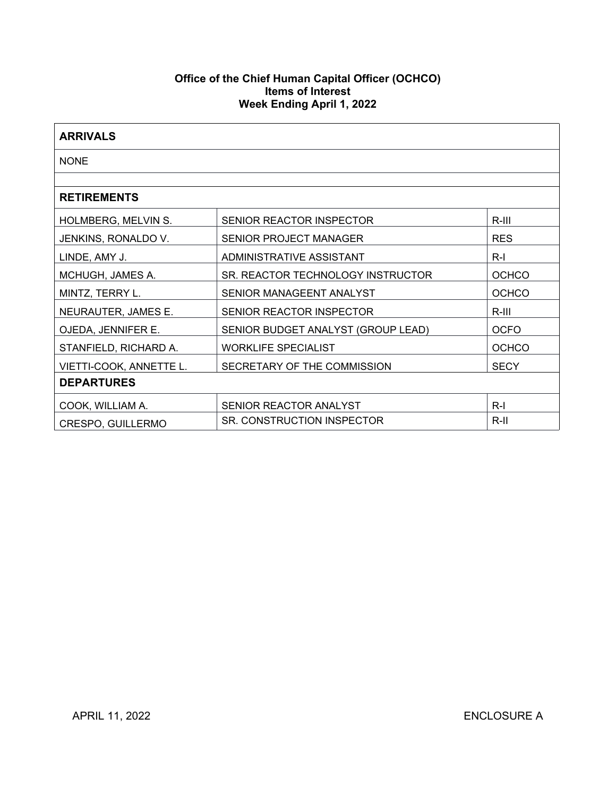## **Office of the Chief Human Capital Officer (OCHCO) Items of Interest Week Ending April 1, 2022**

| <b>ARRIVALS</b>         |                                    |              |  |
|-------------------------|------------------------------------|--------------|--|
| <b>NONE</b>             |                                    |              |  |
|                         |                                    |              |  |
| <b>RETIREMENTS</b>      |                                    |              |  |
| HOLMBERG, MELVIN S.     | SENIOR REACTOR INSPECTOR           | $R-III$      |  |
| JENKINS, RONALDO V.     | <b>SENIOR PROJECT MANAGER</b>      | <b>RES</b>   |  |
| LINDE, AMY J.           | ADMINISTRATIVE ASSISTANT           | $R-I$        |  |
| MCHUGH, JAMES A.        | SR. REACTOR TECHNOLOGY INSTRUCTOR  | <b>OCHCO</b> |  |
| MINTZ, TERRY L.         | SENIOR MANAGEENT ANALYST           | <b>OCHCO</b> |  |
| NEURAUTER, JAMES E.     | SENIOR REACTOR INSPECTOR           | R-III        |  |
| OJEDA, JENNIFER E.      | SENIOR BUDGET ANALYST (GROUP LEAD) | <b>OCFO</b>  |  |
| STANFIELD, RICHARD A.   | <b>WORKLIFE SPECIALIST</b>         | <b>OCHCO</b> |  |
| VIETTI-COOK, ANNETTE L. | SECRETARY OF THE COMMISSION        | <b>SECY</b>  |  |
| <b>DEPARTURES</b>       |                                    |              |  |
| COOK, WILLIAM A.        | SENIOR REACTOR ANALYST             | $R-I$        |  |
| CRESPO, GUILLERMO       | SR. CONSTRUCTION INSPECTOR         | R-II         |  |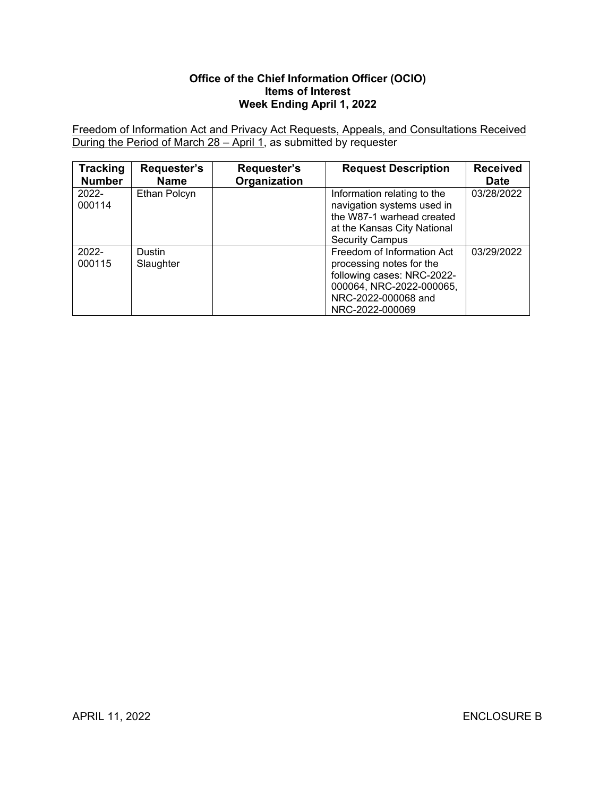## **Office of the Chief Information Officer (OCIO) Items of Interest Week Ending April 1, 2022**

Freedom of Information Act and Privacy Act Requests, Appeals, and Consultations Received During the Period of March 28 – April 1, as submitted by requester

| <b>Tracking</b><br><b>Number</b> | Requester's<br><b>Name</b> | Requester's<br>Organization | <b>Request Description</b>                                                                                                                                 | <b>Received</b><br><b>Date</b> |
|----------------------------------|----------------------------|-----------------------------|------------------------------------------------------------------------------------------------------------------------------------------------------------|--------------------------------|
| $2022 -$<br>000114               | Ethan Polcyn               |                             | Information relating to the<br>navigation systems used in<br>the W87-1 warhead created<br>at the Kansas City National<br><b>Security Campus</b>            | 03/28/2022                     |
| $2022 -$<br>000115               | <b>Dustin</b><br>Slaughter |                             | Freedom of Information Act<br>processing notes for the<br>following cases: NRC-2022-<br>000064, NRC-2022-000065,<br>NRC-2022-000068 and<br>NRC-2022-000069 | 03/29/2022                     |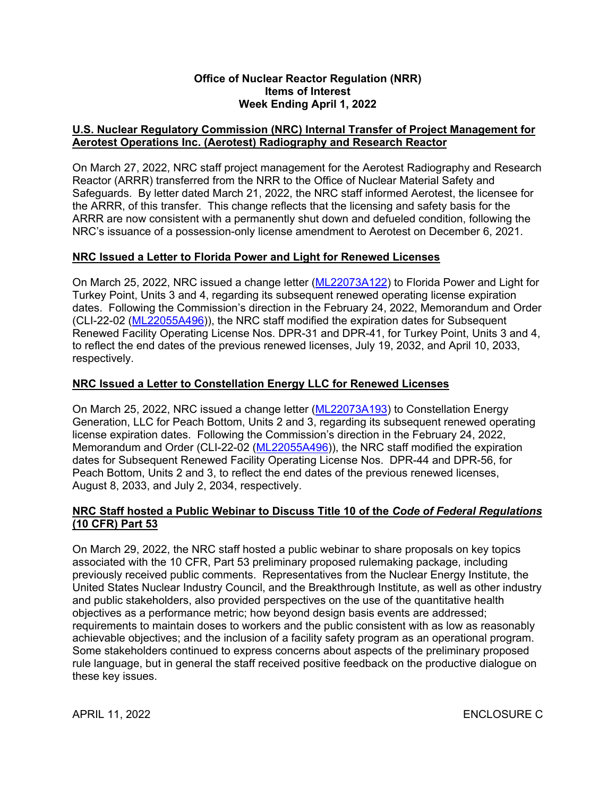#### **Office of Nuclear Reactor Regulation (NRR) Items of Interest Week Ending April 1, 2022**

## **U.S. Nuclear Regulatory Commission (NRC) Internal Transfer of Project Management for Aerotest Operations Inc. (Aerotest) Radiography and Research Reactor**

On March 27, 2022, NRC staff project management for the Aerotest Radiography and Research Reactor (ARRR) transferred from the NRR to the Office of Nuclear Material Safety and Safeguards. By letter dated March 21, 2022, the NRC staff informed Aerotest, the licensee for the ARRR, of this transfer. This change reflects that the licensing and safety basis for the ARRR are now consistent with a permanently shut down and defueled condition, following the NRC's issuance of a possession-only license amendment to Aerotest on December 6, 2021.

## **NRC Issued a Letter to Florida Power and Light for Renewed Licenses**

On March 25, 2022, NRC issued a change letter ([ML22073A122](https://adamsxt.nrc.gov/navigator/AdamsXT/content/downloadContent.faces?objectStoreName=MainLibrary&ForceBrowserDownloadMgrPrompt=false&vsId=%7bA2C72448-B962-C545-9B1F-7F893CE00001%7d)) to Florida Power and Light for Turkey Point, Units 3 and 4, regarding its subsequent renewed operating license expiration dates. Following the Commission's direction in the February 24, 2022, Memorandum and Order (CLI-22-02 [\(ML22055A496\)](https://adamsxt.nrc.gov/navigator/AdamsXT/content/downloadContent.faces?objectStoreName=MainLibrary&ForceBrowserDownloadMgrPrompt=false&vsId=%7b9D013695-0E0E-CA49-8570-7F2C5A800000%7d)), the NRC staff modified the expiration dates for Subsequent Renewed Facility Operating License Nos. DPR-31 and DPR-41, for Turkey Point, Units 3 and 4, to reflect the end dates of the previous renewed licenses, July 19, 2032, and April 10, 2033, respectively.

## **NRC Issued a Letter to Constellation Energy LLC for Renewed Licenses**

On March 25, 2022, NRC issued a change letter ([ML22073A193](https://adamsxt.nrc.gov/navigator/AdamsXT/packagecontent/packageContent.faces?id=%7bBBA7E8A9-4308-C369-8696-7F898E800000%7d&objectStoreName=MainLibrary&wId=1649275306725)) to Constellation Energy Generation, LLC for Peach Bottom, Units 2 and 3, regarding its subsequent renewed operating license expiration dates. Following the Commission's direction in the February 24, 2022, Memorandum and Order (CLI-22-02 ([ML22055A496](https://adamsxt.nrc.gov/navigator/AdamsXT/content/downloadContent.faces?objectStoreName=MainLibrary&ForceBrowserDownloadMgrPrompt=false&vsId=%7b9D013695-0E0E-CA49-8570-7F2C5A800000%7d))), the NRC staff modified the expiration dates for Subsequent Renewed Facility Operating License Nos. DPR-44 and DPR-56, for Peach Bottom, Units 2 and 3, to reflect the end dates of the previous renewed licenses, August 8, 2033, and July 2, 2034, respectively.

## **NRC Staff hosted a Public Webinar to Discuss Title 10 of the** *Code of Federal Regulations* **(10 CFR) Part 53**

On March 29, 2022, the NRC staff hosted a public webinar to share proposals on key topics associated with the 10 CFR, Part 53 preliminary proposed rulemaking package, including previously received public comments. Representatives from the Nuclear Energy Institute, the United States Nuclear Industry Council, and the Breakthrough Institute, as well as other industry and public stakeholders, also provided perspectives on the use of the quantitative health objectives as a performance metric; how beyond design basis events are addressed; requirements to maintain doses to workers and the public consistent with as low as reasonably achievable objectives; and the inclusion of a facility safety program as an operational program. Some stakeholders continued to express concerns about aspects of the preliminary proposed rule language, but in general the staff received positive feedback on the productive dialogue on these key issues.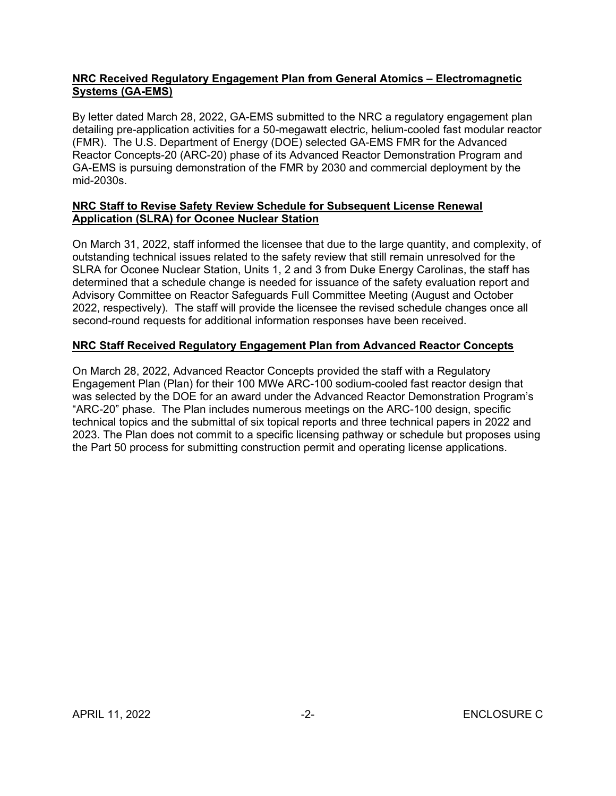## **NRC Received Regulatory Engagement Plan from General Atomics – Electromagnetic Systems (GA-EMS)**

By letter dated March 28, 2022, GA-EMS submitted to the NRC a regulatory engagement plan detailing pre-application activities for a 50-megawatt electric, helium-cooled fast modular reactor (FMR). The U.S. Department of Energy (DOE) selected GA-EMS FMR for the Advanced Reactor Concepts-20 (ARC-20) phase of its Advanced Reactor Demonstration Program and GA-EMS is pursuing demonstration of the FMR by 2030 and commercial deployment by the mid-2030s.

## **NRC Staff to Revise Safety Review Schedule for Subsequent License Renewal Application (SLRA) for Oconee Nuclear Station**

On March 31, 2022, staff informed the licensee that due to the large quantity, and complexity, of outstanding technical issues related to the safety review that still remain unresolved for the SLRA for Oconee Nuclear Station, Units 1, 2 and 3 from Duke Energy Carolinas, the staff has determined that a schedule change is needed for issuance of the safety evaluation report and Advisory Committee on Reactor Safeguards Full Committee Meeting (August and October 2022, respectively). The staff will provide the licensee the revised schedule changes once all second-round requests for additional information responses have been received.

## **NRC Staff Received Regulatory Engagement Plan from Advanced Reactor Concepts**

On March 28, 2022, Advanced Reactor Concepts provided the staff with a Regulatory Engagement Plan (Plan) for their 100 MWe ARC-100 sodium-cooled fast reactor design that was selected by the DOE for an award under the Advanced Reactor Demonstration Program's "ARC-20" phase. The Plan includes numerous meetings on the ARC-100 design, specific technical topics and the submittal of six topical reports and three technical papers in 2022 and 2023. The Plan does not commit to a specific licensing pathway or schedule but proposes using the Part 50 process for submitting construction permit and operating license applications.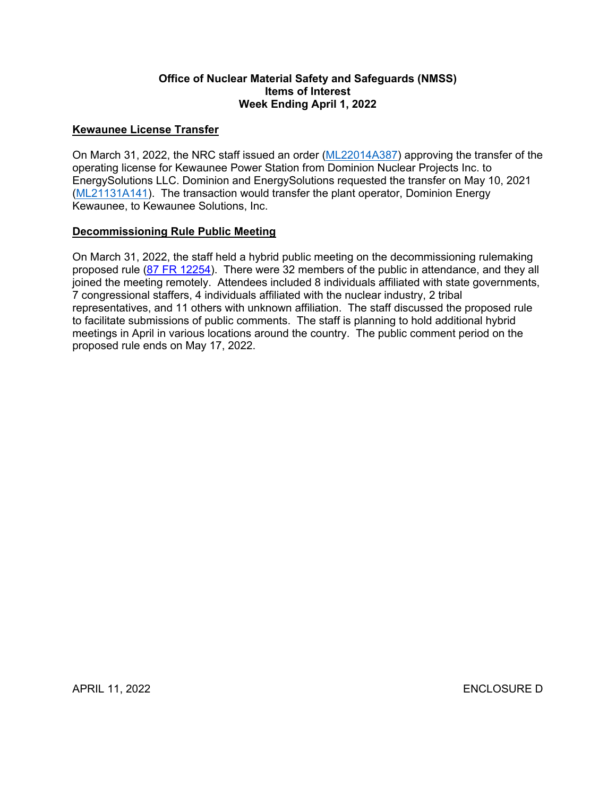### **Office of Nuclear Material Safety and Safeguards (NMSS) Items of Interest Week Ending April 1, 2022**

## **Kewaunee License Transfer**

On March 31, 2022, the NRC staff issued an order ([ML22014A387](https://adamsxt.nrc.gov/navigator/AdamsXT/packagecontent/packageContent.faces?id=%7bEAB79C14-6FBB-CFEF-84FA-7E5A3D900000%7d&objectStoreName=MainLibrary&wId=1648754077360)) approving the transfer of the operating license for Kewaunee Power Station from Dominion Nuclear Projects Inc. to EnergySolutions LLC. Dominion and EnergySolutions requested the transfer on May 10, 2021 ([ML21131A141](https://adamsxt.nrc.gov/navigator/AdamsXT/content/downloadContent.faces?objectStoreName=MainLibrary&ForceBrowserDownloadMgrPrompt=false&vsId=%7b9437AB88-50A1-C8F1-ABC9-795C8B100002%7d)). The transaction would transfer the plant operator, Dominion Energy Kewaunee, to Kewaunee Solutions, Inc.

#### **Decommissioning Rule Public Meeting**

On March 31, 2022, the staff held a hybrid public meeting on the decommissioning rulemaking proposed rule ([87 FR 12254\)](https://www.govinfo.gov/content/pkg/FR-2022-03-03/pdf/2022-03131.pdf?utm_source=federalregister.gov&utm_medium=email&utm_campaign=subscription+mailing+list). There were 32 members of the public in attendance, and they all joined the meeting remotely. Attendees included 8 individuals affiliated with state governments, 7 congressional staffers, 4 individuals affiliated with the nuclear industry, 2 tribal representatives, and 11 others with unknown affiliation. The staff discussed the proposed rule to facilitate submissions of public comments. The staff is planning to hold additional hybrid meetings in April in various locations around the country. The public comment period on the proposed rule ends on May 17, 2022.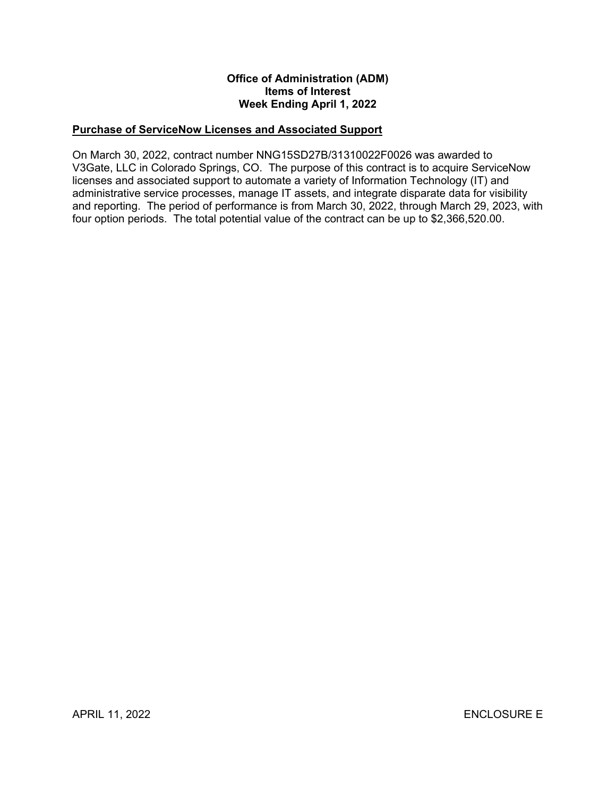## **Office of Administration (ADM) Items of Interest Week Ending April 1, 2022**

## **Purchase of ServiceNow Licenses and Associated Support**

On March 30, 2022, contract number NNG15SD27B/31310022F0026 was awarded to V3Gate, LLC in Colorado Springs, CO. The purpose of this contract is to acquire ServiceNow licenses and associated support to automate a variety of Information Technology (IT) and administrative service processes, manage IT assets, and integrate disparate data for visibility and reporting. The period of performance is from March 30, 2022, through March 29, 2023, with four option periods. The total potential value of the contract can be up to \$2,366,520.00.